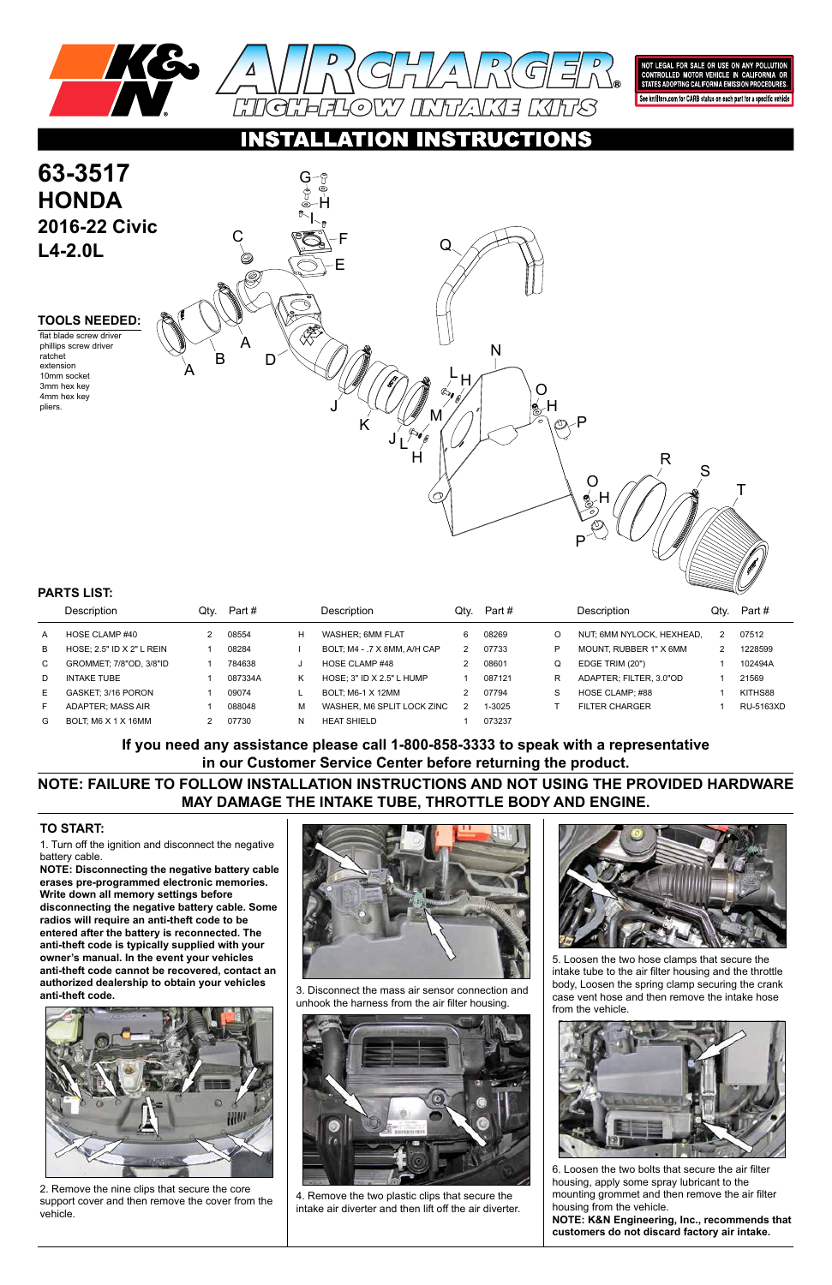

NOT LEGAL FOR SALE OR USE ON ANY POLLUTION<br>CONTROLLED MOTOR VEHICLE IN CALIFORNIA OR<br>STATES ADOPTING CALIFORNIA EMISSION PROCEDURES.

See knfilters.com for CARB status on each part for a specific vehicle

# RUCTIONS

1. Turn off the ignition and disconnect the negative battery cable.

**NOTE: Disconnecting the negative battery cable erases pre-programmed electronic memories. Write down all memory settings before disconnecting the negative battery cable. Some radios will require an anti-theft code to be entered after the battery is reconnected. The anti-theft code is typically supplied with your owner's manual. In the event your vehicles anti-theft code cannot be recovered, contact an authorized dealership to obtain your vehicles anti-theft code.**





### **TO START:**

**NOTE: FAILURE TO FOLLOW INSTALLATION INSTRUCTIONS AND NOT USING THE PROVIDED HARDWARE MAY DAMAGE THE INTAKE TUBE, THROTTLE BODY AND ENGINE.**

**If you need any assistance please call 1-800-858-3333 to speak with a representative in our Customer Service Center before returning the product.**



|              | <b>Description</b>        | Qtv. | Part #  |   | Description                  | Qtv. | Part # |   | Description               | Qtv. | Part #    |
|--------------|---------------------------|------|---------|---|------------------------------|------|--------|---|---------------------------|------|-----------|
| A            | HOSE CLAMP #40            |      | 08554   | H | WASHER: 6MM FLAT             | 6    | 08269  | O | NUT, 6MM NYLOCK, HEXHEAD, |      | 07512     |
| B            | HOSE: 2.5" ID X 2" L REIN |      | 08284   |   | BOLT, M4 - .7 X 8MM, A/H CAP |      | 07733  | P | MOUNT. RUBBER 1" X 6MM    |      | 1228599   |
| $\mathsf{C}$ | GROMMET: 7/8"OD, 3/8"ID   |      | 784638  |   | HOSE CLAMP #48               |      | 08601  | Q | EDGE TRIM (20")           |      | 102494A   |
| D            | <b>INTAKE TUBE</b>        |      | 087334A | Κ | HOSE: $3"$ ID X 2.5" L HUMP  |      | 087121 | R | ADAPTER: FILTER. 3.0"OD   |      | 21569     |
| Е            | GASKET: 3/16 PORON        |      | 09074   |   | BOLT: M6-1 X 12MM            |      | 07794  | S | HOSE CLAMP: #88           |      | KITHS88   |
|              | ADAPTER, MASS AIR         |      | 088048  | М | WASHER, M6 SPLIT LOCK ZINC   |      | 1-3025 |   | <b>FILTER CHARGER</b>     |      | RU-5163XD |
| G            | BOLT: M6 X 1 X 16MM       |      | 07730   | N | <b>HEAT SHIELD</b>           |      | 073237 |   |                           |      |           |

### **PARTS LIST:**



2. Remove the nine clips that secure the core support cover and then remove the cover from the vehicle.

3. Disconnect the mass air sensor connection and unhook the harness from the air filter housing.



4. Remove the two plastic clips that secure the intake air diverter and then lift off the air diverter.

5. Loosen the two hose clamps that secure the intake tube to the air filter housing and the throttle body, Loosen the spring clamp securing the crank case vent hose and then remove the intake hose from the vehicle.



6. Loosen the two bolts that secure the air filter housing, apply some spray lubricant to the mounting grommet and then remove the air filter housing from the vehicle.

**NOTE: K&N Engineering, Inc., recommends that customers do not discard factory air intake.**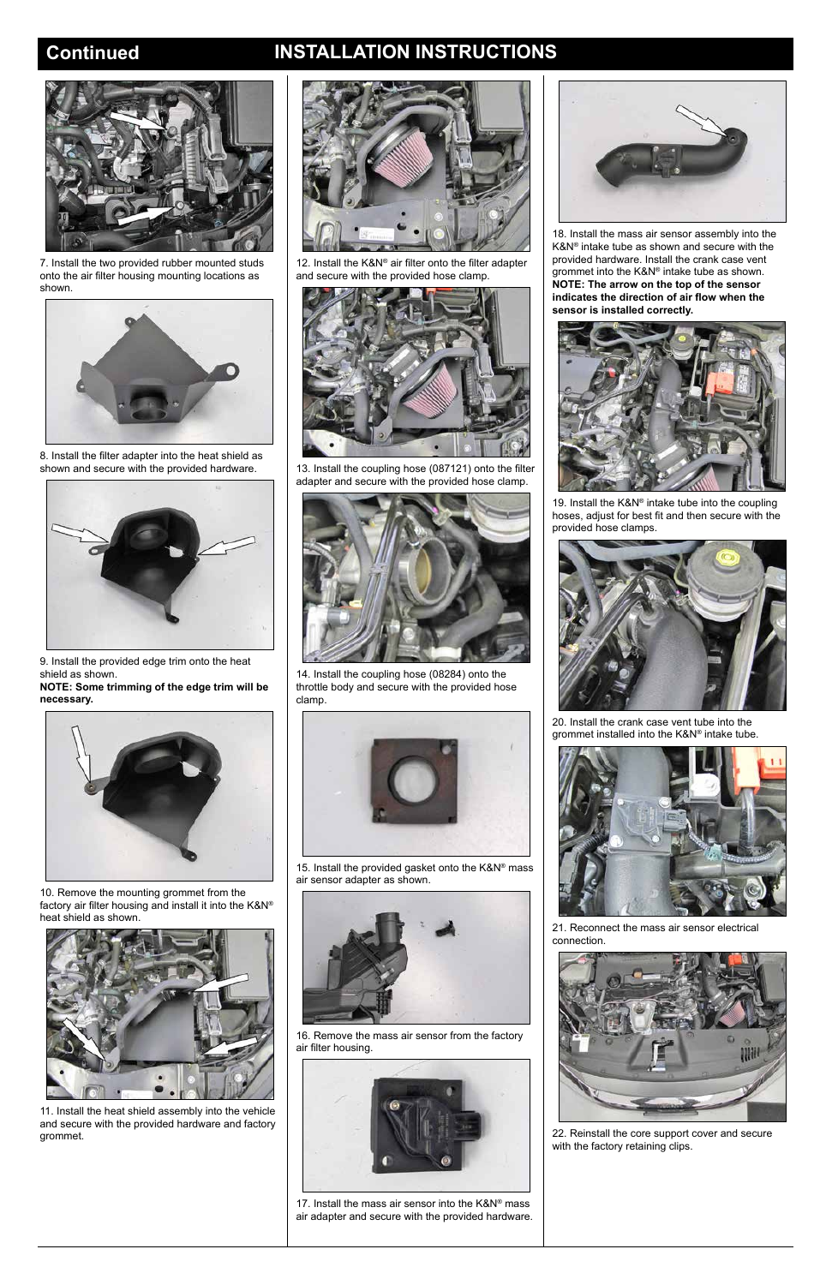## **Continued INSTALLATION INSTRUCTIONS**



7. Install the two provided rubber mounted studs onto the air filter housing mounting locations as shown.



8. Install the filter adapter into the heat shield as shown and secure with the provided hardware.



9. Install the provided edge trim onto the heat shield as shown.

**NOTE: Some trimming of the edge trim will be necessary.**



10. Remove the mounting grommet from the factory air filter housing and install it into the K&N® heat shield as shown.

11. Install the heat shield assembly into the vehicle and secure with the provided hardware and factory grommet.

> 17. Install the mass air sensor into the K&N® mass air adapter and secure with the provided hardware.





12. Install the K&N® air filter onto the filter adapter and secure with the provided hose clamp.



13. Install the coupling hose (087121) onto the filter adapter and secure with the provided hose clamp.



19. Install the K&N® intake tube into the coupling hoses, adjust for best fit and then secure with the provided hose clamps.



14. Install the coupling hose (08284) onto the throttle body and secure with the provided hose clamp.



15. Install the provided gasket onto the K&N® mass air sensor adapter as shown.



16. Remove the mass air sensor from the factory air filter housing.





18. Install the mass air sensor assembly into the K&N® intake tube as shown and secure with the provided hardware. Install the crank case vent grommet into the K&N® intake tube as shown. **NOTE: The arrow on the top of the sensor indicates the direction of air flow when the sensor is installed correctly.**



20. Install the crank case vent tube into the grommet installed into the K&N® intake tube.



21. Reconnect the mass air sensor electrical connection.



22. Reinstall the core support cover and secure with the factory retaining clips.